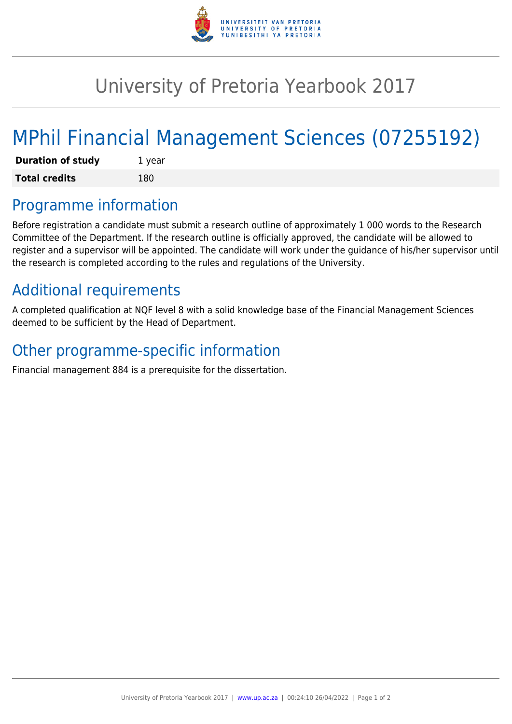

## University of Pretoria Yearbook 2017

# MPhil Financial Management Sciences (07255192)

| <b>Duration of study</b> | 1 year |
|--------------------------|--------|
| <b>Total credits</b>     | 180    |

#### Programme information

Before registration a candidate must submit a research outline of approximately 1 000 words to the Research Committee of the Department. If the research outline is officially approved, the candidate will be allowed to register and a supervisor will be appointed. The candidate will work under the guidance of his/her supervisor until the research is completed according to the rules and regulations of the University.

### Additional requirements

A completed qualification at NQF level 8 with a solid knowledge base of the Financial Management Sciences deemed to be sufficient by the Head of Department.

#### Other programme-specific information

Financial management 884 is a prerequisite for the dissertation.